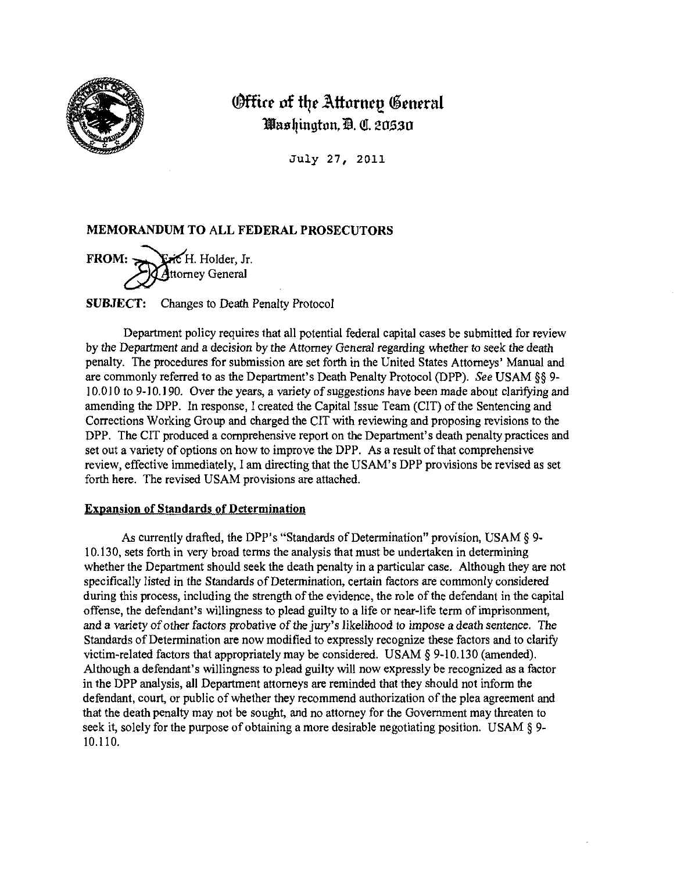

# **Office of the Attornep General** Washington, D. C. 20530

July 27, 2011

## **MEMORANDUM TO ALL FEDERAL PROSECUTORS**

**FROM: Eric** H. Holder, Jr. Attorney General

**SUBJECT:** Changes to Death Penalty Protocol

Department policy requires that all potential federal capital cases be submitted for review by the Department and a decision by the Attorney General regarding whether to seek the death penalty. The procedures for submission are set forth in the United States Attorneys' Manual and are commonly referred to as the Department's Death Penalty Protocol (DPP). *See* USAM §§ 9- 10.010 to 9-10.190. Over the years, a variety of suggestions have been made about clarifying and amending the DPP. In response, I created the Capital Issue Team (CIT) of the Sentencing and Corrections Working Group and charged the CIT with reviewing and proposing revisions to the DPP. The CIT produced a comprehensive report on the Department's death penalty practices and set out a variety of options on how to improve the DPP. As a result of that comprehensive review, effective immediately, I am directing that the USAM's DPP provisions be revised as set forth here. The revised USAM provisions are attached.

## Expansion of Standards of Determination

As currently drafted, the DPP's "Standards of Determination" provision, USAM § 9- 10.13 0, sets forth in very broad terms the analysis that must be undertaken in determining whether the Department should seek the death penalty in a particular case. Although they are not specifically listed in the Standards of Determination, certain factors are commonly considered during this process, including the strength of the evidence, the role of the defendant in the capital offense, the defendant's willingness to plead guilty to a life or near-life term of imprisonment, and a variety of other factors probative of the jury's likelihood to impose a death sentence. The Standards of Determination are now modified to expressly recognize these factors and to clarify victim-related factors that appropriately may be considered. USAM  $\S$  9-10.130 (amended), Although a defendant's willingness to plead guilty will now expressly be recognized as a factor in the DPP analysis, all Department attorneys are reminded that they should not inform the defendant, court, or public of whether they recommend authorization of the plea agreement and that the death penalty may not be sought, and no attorney for the Government may threaten to seek it, solely for the purpose of obtaining a more desirable negotiating position. USAM § 9-10.110.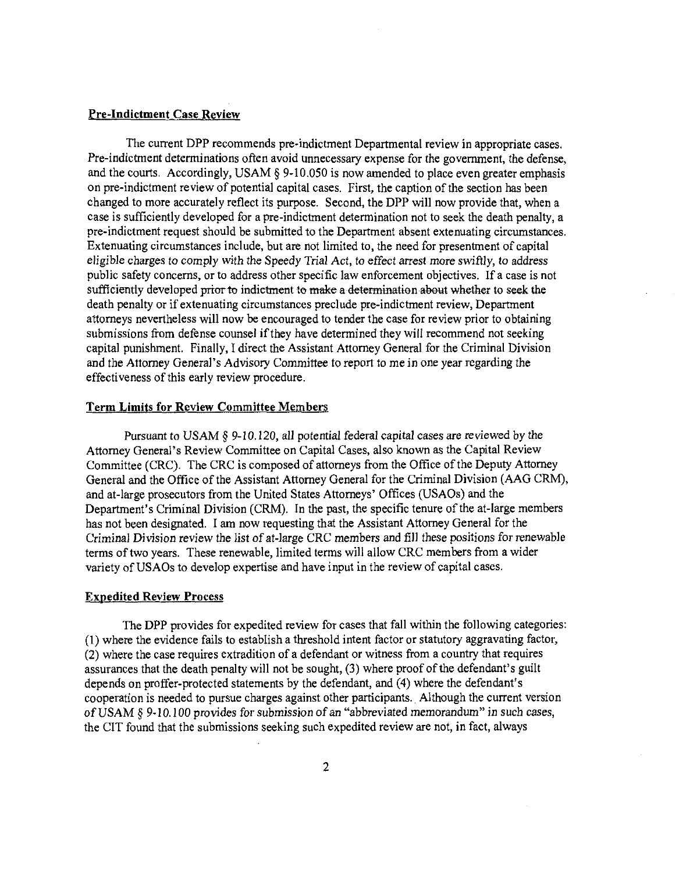#### **Pre-indictment Case Review**

The current DPP recommends pre-indictment Departmental review in appropriate cases. Pre-indictment determinations often avoid unnecessary expense for the government, the defense, and the courts. Accordingly, USAM  $\S$  9-10.050 is now amended to place even greater emphasis on pre-indictment review of potential capital cases. First, the caption of the section has been changed to more accurately reflect its purpose. Second, the DPP will now provide that, when a case is sufficiently developed for a pre-indictment determination not to seek the death penalty, a pre-indictment request should be submitted to the Department absent extenuating circumstances. Extenuating circumstances include, but are not limited to, the need for presentment of capital eligible charges to comply with the Speedy Trial Act, to effect arrest more swiftly, to address public safety concerns, or to address other specific law enforcement objectives. If a case is not sufficiently developed prior to indictment to make a determination about whether to seek the death penalty or if extenuating circumstances preclude pre-indictment review, Department attorneys nevertheless will now be encouraged to tender the case for review prior to obtaining submissions from defense counsel if they have determined they will recommend not seeking capital punishment. Finally, I direct the Assistant Attorney General for the Criminal Division and the Attorney General's Advisory Committee to report to me in one year regarding the effectiveness of this early review procedure.

#### **Term Limits for Review Committee Members**

Pursuant to USAM § 9-10.120, all potential federal capital cases are reviewed by the Attorney General's Review Committee on Capital Cases, also known as the Capital Review Committee (CRC). The CRC is composed of attorneys from the Office of the Deputy Attorney General and the Office of the Assistant Attorney General for the Criminal Division (AAG CRM), and at-large prosecutors from the United States Attorneys' Offices (USAOs) and the Department's Criminal Division (CRM). In the past, the specific tenure of the at-large members has not been designated. I am now requesting that the Assistant Attorney General for the Criminal Division review the list of at-large CRC members and fill these positions for renewable terms of two years. These renewable, limited terms will allow CRC members from a wider variety of USAOs to develop expertise and have input in the review of capital cases.

#### **Expedited Review Process**

The DPP provides for expedited review for cases that fall within the following categories: (1) where the evidence fails to establish a threshold intent factor or statutory aggravating factor, (2) where the case requires extradition of a defendant or witness from a country that requires assurances that the death penalty will not be sought, (3) where proof of the defendant's guilt depends on proffer-protected statements by the defendant, and (4) where the defendant's cooperation is needed to pursue charges against other participants.. Although the current version of USAM §9-10.100 provides for submission of an "abbreviated memorandum" in such cases, the CIT found that the submissions seeking such expedited review are not, in fact, always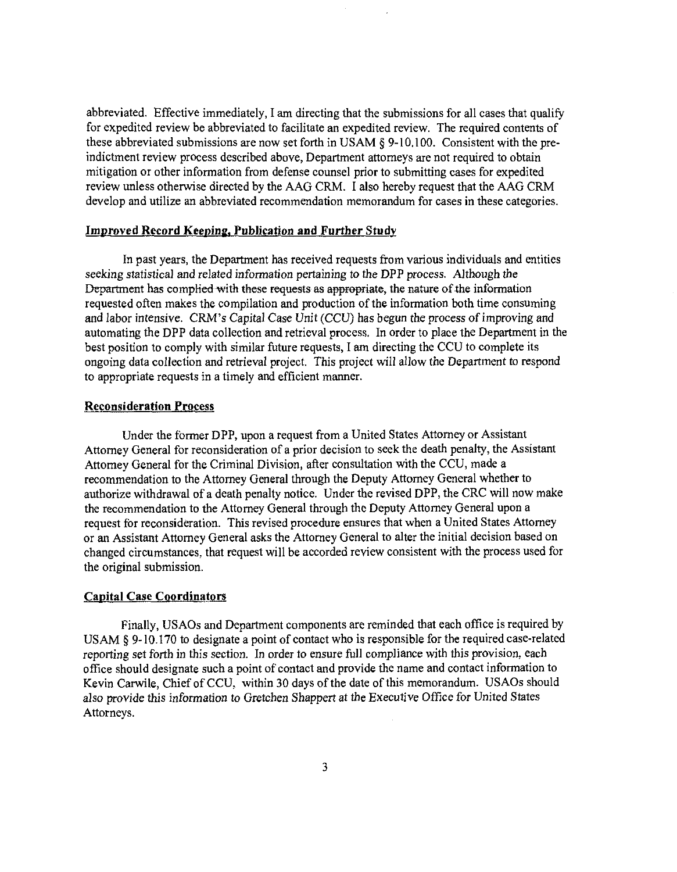abbreviated. Effective immediately, I am directing that the submissions for all cases that qualify for expedited review be abbreviated to facilitate an expedited review. The required contents of these abbreviated submissions are now set forth in USAM § 9-10.100. Consistent with the preindictment review process described above, Department attorneys are not required to obtain mitigation or other information from defense counsel prior to submitting cases for expedited review unless otherwise directed by the AAG CRM. I also hereby request that the AAG CRM develop and utilize an abbreviated recommendation memorandum for cases in these categories.

#### **Improved Record Keeping. Publication and Further Study**

In past years, the Department has received requests from various individuals and entities seeking statistical and related information pertaining to the DPP process. Although the Department has complied with these requests as appropriate, the nature of the information requested often makes the compilation and production of the information both time consuming and labor intensive. CRM's Capital Case Unit (CCU) has begun the process of improving and automating the DPP data collection and retrieval process. In order to place the Department in the best position to comply with similar future requests, I am directing the CCU to complete its ongoing data collection and retrieval project. This project will allow the Department to respond to appropriate requests in a timely and efficient manner.

#### **Reconsideration** Process

Under the former DPP, upon a request from a United States Attorney or Assistant Attorney General for reconsideration of a prior decision to seek the death penalty, the Assistant Attorney General for the Criminal Division, after consultation with the CCU, made a recommendation to the Attorney General through the Deputy Attorney General whether to authorize withdrawal of a death penalty notice. Under the revised DPP, the CRC will now make the recommendation to the Attorney General through the Deputy Attorney General upon a request for reconsideration. This revised procedure ensures that when a United States Attorney or an Assistant Attorney General asks the Attorney General to alter the initial decision based on changed circumstances, that request will be accorded review consistent with the process used for the original submission.

#### **Capital Case Coordinators**

Finally, USAOs and Department components are reminded that each office is required by USAM § 9-10.170 to designate a point of contact who is responsible for the required case-related reporting set forth in this section. In order to ensure full compliance with this provision, each office should designate such a point of contact and provide the name and contact information to Kevin Carwile, Chief of CCU, within 30 days of the date of this memorandum. USAOs should also provide this information to Gretchen Shappert at the Executive Office for United States Attorneys.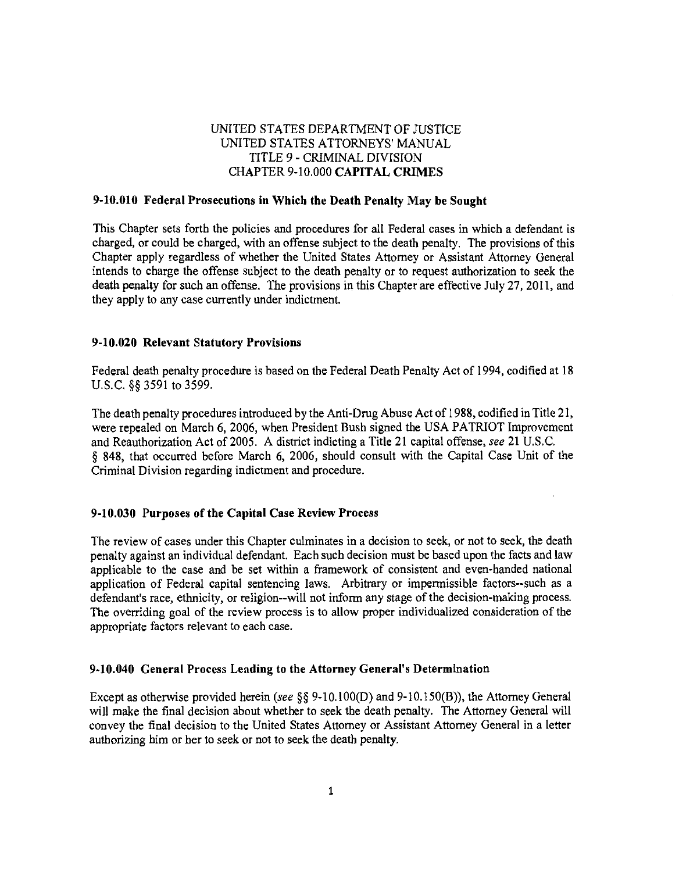## UNITED STATES DEPARTMENT OF JUSTICE UNITED STATES ATTORNEYS' MANUAL TITLE 9 - CRIMINAL DIVISION CHAPTER 9-10.000 **CAPITAL CRIMES**

#### **9-10.010 Federal Prosecutions in Which the Death Penalty May be Sought**

This Chapter sets forth the policies and procedures for all Federal cases in which a defendant is charged, or could be charged, with an offense subject to the death penalty. The provisions of this Chapter apply regardless of whether the United States Attorney or Assistant Attorney General intends to charge the offense subject to the death penalty or to request authorization to seek the death peaaliy for such an offense. The provisions in this Chapter are effective July 27, 2011, and they apply to any case currently under indictment.

#### **9-10.020 Relevant Statutory Provisions**

Federal death penalty procedure is based on the Federal Death Penalty Act of 1994, codified at 18 U.S.C. §§ 3591 to 3599.

The death penalty procedures introduced by the Anti-Drug Abuse Act of 1988, codified in Title 21, were repealed on March 6, 2006, when President Bush signed the USA PATRIOT Improvement and Reauthorization Act of 2005. A district indicting a Title 21 capital offense, *see* 21 U.S.C. § 848, that occurred before March 6, 2006, should consult with the Capital Case Unit of the Criminal Division regarding indictment and procedure.

#### **9-10.030 Purposes of the Capital Case Review Process**

The review of cases under this Chapter culminates in a decision to seek, or not to seek, the death penalty against an individual defendant. Each such decision must be based upon the facts and law applicable to the case and be set within a framework of consistent and even-handed national application of Federal capital sentencing laws. Arbitrary or impermissible factors--such as a defendant's race, ethnicity, or religion—will not inform any stage of the decision-making process. The overriding goal of the review process is to allow proper individualized consideration of the appropriate factors relevant to each case.

## **9-10.040 General Process Leading to** the **Attorney General's Determination**

Except as otherwise provided herein *(see* §§ 9-10.100(D) and 9-l0.150(B)), the Attorney General will make the final decision about whether to seek the death penalty. The Attorney General will convey the final decision to the United States Attorney or Assistant Attorney General in a letter authorizing him or her to seek or not to seek the death penalty.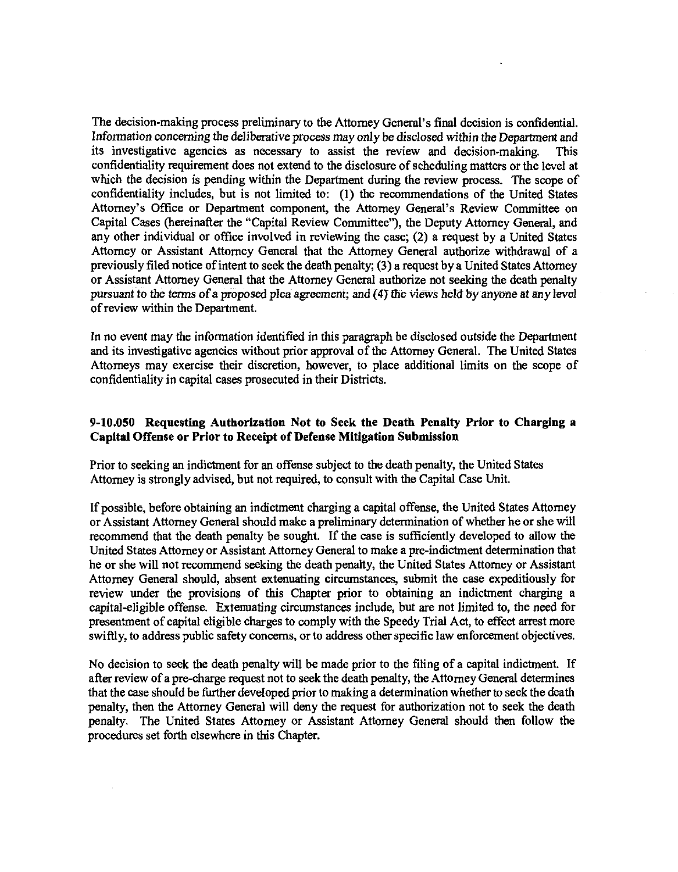The decision-making process preliminary to the Attorney General's final decision is confidential. Information concerning the deliberative process may only be disclosed within the Department and its investigative agencies as necessary to assist the review and decision-making. This confidentiality requirement does not extend to the disclosure of scheduling matters or the level at which the decision is pending within the Department during the review process. The scope of confidentiality includes, but is not limited to: (1) the recommendations of the United States Attorney's Office or Department component, the Attorney General's Review Committee on Capital Cases (hereinafter the "Capital Review Committee"), the Deputy Attorney General, and any other individual or office involved in reviewing the case; (2) a request by a United States Attorney or Assistant Attorney General that the Attorney General authorize withdrawal of a previously filed notice of intent to seek the death penalty; (3) a request by a United States Attorney or Assistant Attorney General that the Attorney General authorize not seeking the death penalty pursuant to the terms of a proposed plea agreement; and (4) the views held by anyone at any level of review within the Department.

In no event may the information identified in this paragraph be disclosed outside the Department and its investigative agencies without prior approval of the Attorney General. The United States Attorneys may exercise their discretion, however, to place additional limits on the scope of confidentiality in capital cases prosecuted in their Districts.

## **9-10.050 Requesting Authorization Not to Seek the Death Penalty Prior to Charging a Capital Offense or Prior to Receipt of Defense Mitigation Submission**

Prior to seeking an indictment for an offense subject to the death penalty, the United States Attorney is strongly advised, but not required, to consult with the Capital Case Unit.

If possible, before obtaining an indictment charging a capital offense, the United States Attorney or Assistant Attorney General should make a preliminary determination of whether he or she will recommend that the death penalty be sought. If the case is sufficiently developed to allow the United States Attorney or Assistant Attorney General to make a pre-indictment determination that he or she will not recommend seeking the death penalty, the United States Attorney or Assistant Attorney General should, absent extenuating circumstances, submit the case expeditiously for review under the provisions of this Chapter prior to obtaining an indictment charging a capital-eligible offense. Extenuating circumstances include, but are not limited to, the need for presentment of capital eligible charges to comply with the Speedy Trial Act, to effect arrest more swiftly, to address public safety concerns, or to address other specific law enforcement objectives.

No decision to seek the death penalty will be made prior to the filing of a capital indictment. If after review of a pre-charge request not to seek the death penalty, the Attorney General determines that the case should be further developed prior to making a determination whether to seek the death penalty, then the Attorney General will deny the request for authorization not to seek the death penalty. The United States Attorney or Assistant Attorney General should then follow the procedures set forth elsewhere in this Chapter.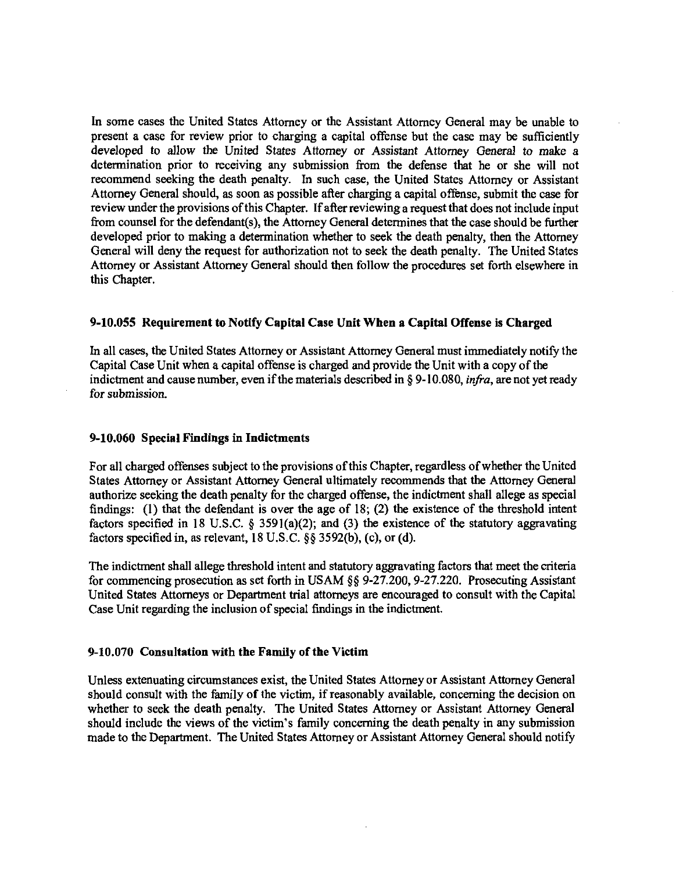In some cases the United States Attorney or the Assistant Attorney General may be unable to present a case for review prior to charging a capital offense but the case may be sufficiently developed to allow the United States Attorney or Assistant Attorney General to make a determination prior to receiving any submission from the defense that he or she will not recommend seeking the death penalty. In such case, the United States Attorney or Assistant Attorney General should, as soon as possible after charging a capital offense, submit the case for review under the provisions of this Chapter. If after reviewing a request that does not include input from counsel for the defendant(s), the Attorney General determines that the case should be further developed prior to making a determination whether to seek the death penalty, then the Attorney General will deny the request for authorization not to seek the death penalty. The United States Attorney or Assistant Attorney General should then follow the procedures set forth elsewhere in this Chapter.

## **9-10.055 Requirement to Notify Capital Case Unit When a Capital Offense is Charged**

In all cases, the United States Attorney or Assistant Attorney General must immediately notify the Capital Case Unit when a capital offense is charged and provide the Unit with a copy of the indictment and cause number, even if the materials described in § 9-10.080, *infra,* are not yet ready for submission.

## **9-10.060 Special Findings in Indictments**

For all charged offenses subject to the provisions of this Chapter, regardless of whether the United States Attorney or Assistant Attorney General ultimately recommends that the Attorney General authorize seeking the death penalty for the charged offense, the indictment shall allege as special findings: (1) that the defendant is over the age of 18; (2) the existence of the threshold intent factors specified in 18 U.S.C.  $\S$  3591(a)(2); and (3) the existence of the statutory aggravating factors specified in, as relevant, 18 U.S.C. §§ 3592(b), (c), or (d).

The indictment shall allege threshold intent and statutory aggravating factors that meet the criteria for commencing prosecution as set forth in USAM  $\S$ § 9-27.200, 9-27.220. Prosecuting Assistant United States Attorneys or Department trial attorneys are encouraged to consult with the Capital Case Unit regarding the inclusion of special findings in the indictment.

#### 9-10.070 **Consultation with the Family** of **the Victim**

Unless extenuating circumstances exist, the United States Attorney or Assistant Attorney General should consult with the family of the victim, if reasonably available, concerning the decision on whether to seek the death penalty. The United States Attorney or Assistant Attorney General should include the views of the victim's family concerning the death penalty in any submission made to the Department. The United States Attorney or Assistant Attorney General should notify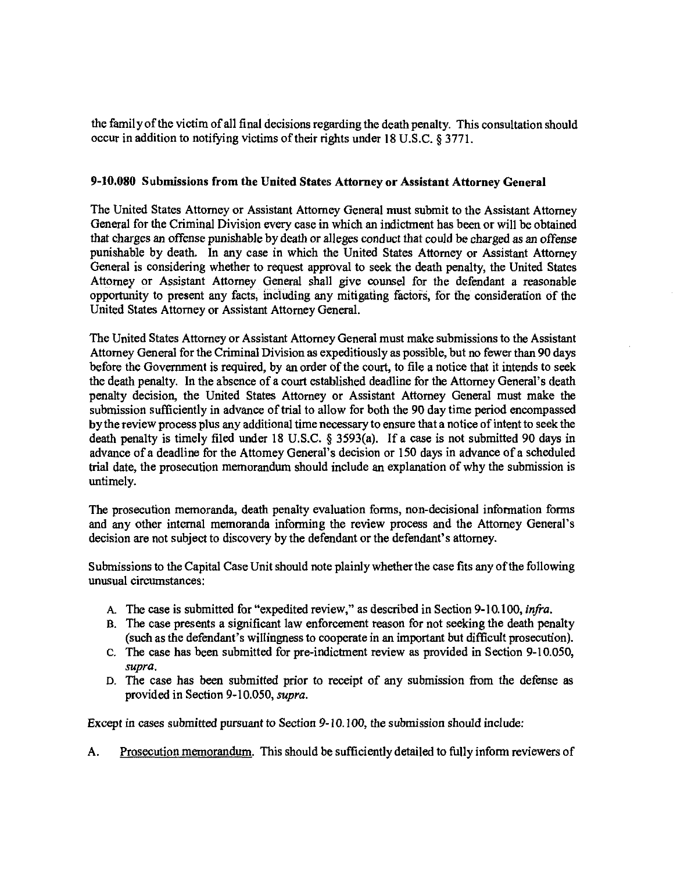the family of the victim of all final decisions regarding the death penalty. This consultation should occur in addition to notifying victims of their rights under 18 U.S.C. § 3771.

#### **9-10.080 Submissions from the United States Attorney or Assistant Attorney General**

The United States Attorney or Assistant Attorney General must submit to the Assistant Attorney General for the Criminal Division every case in which an indictment has been or will be obtained that charges an offense punishable by death or alleges conduct that could be charged as an offense punishable by death. In any case in which the United States Attorney or Assistant Attorney General is considering whether to request approval to seek the death penalty, the United States Attorney or Assistant Attorney General shall give counsel for the defendant a reasonable opportunity to present any facts, including any mitigating factors, for the consideration of the United States Attorney or Assistant Attorney General.

The United States Attorney or Assistant Attorney General must make submissions to the Assistant Attorney General for the Criminal Division as expeditiously as possible, but no fewer than 90 days before the Government is required, by an order of the court, to file a notice that it intends to seek the death penalty. In the absence of a court established deadline for the Attorney General's death penalty decision, the United States Attorney or Assistant Attorney General must make the submission sufficiently in advance of trial to allow for both the 90 day time period encompassed by the review process plus any additional time necessary to ensure that a notice of intent to seek the death penalty is timely filed under 18 U.S.C. § 3593(a). If a case is not submitted 90 days in advance of a deadline for the Attorney General's decision or 150 days in advance of a scheduled trial date, the prosecution memorandum should include an explanation of why the submission is untimely.

The prosecution memoranda, death penalty evaluation forms, non-decisional information forms and any other internal memoranda informing the review process and the Attorney General's decision are not subject to discovery by the defendant or the defendant's attorney.

Submissions to the Capital Case Unit should note plainly whether the case fits any of the following unusual circumstances:

- A. The case is submitted for "expedited review," as described in Section 9-10.100, *infra.*
- B. The case presents a significant law enforcement reason for not seeking the death penalty (such as the defendant's willingness to cooperate in an important but difficult prosecution).
- C. The case has been submitted for pre-indictment review as provided in Section 9-10.050, *supra.*
- D. The case has been submitted prior to receipt of any submission from the defense as provided in Section 9-10.050, *supra.*

Except in cases submitted pursuant to Section 9-10.100, the submission should include:

A. Prosecution memorandum. This should be sufficiently detailed to fully inform reviewers of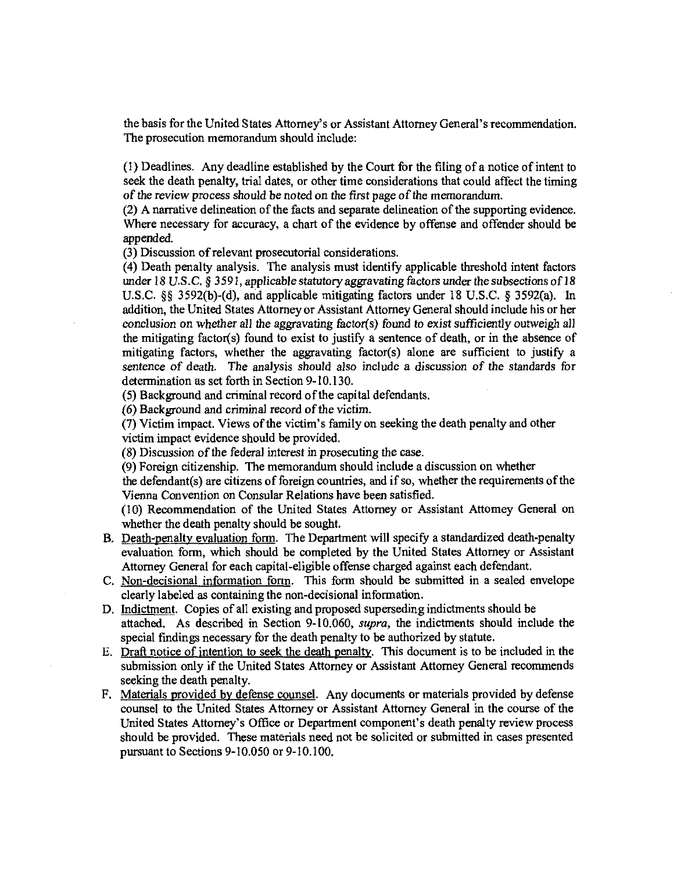the basis for the United States Attorney's or Assistant Attorney General's recommendation. The prosecution memorandum should include:

(1) Deadlines. Any deadline established by the Court for the filing of a notice of intent to seek the death penalty, trial dates, or other time considerations that could affect the timing of the review process should be noted on the first page of the memorandum.

(2) A narrative delineation of the facts and separate delineation of the supporting evidence. Where necessary for accuracy, a chart of the evidence by offense and offender should be appended.

(3) Discussion of relevant prosecutorial considerations.

(4) Death penalty analysis. The analysis must identify applicable threshold intent factors under 18 U.S.C, § 3591, applicable statutory aggravating factors under the subsections of 18 U.S.C. §§ 3592(b)-(d), and applicable mitigating factors under 18 U.S.C. § 3592(a). In addition, the United States Attorney or Assistant Attorney General should include his or her conclusion on whether all the aggravating factor(s) found to exist sufficiently outweigh all the mitigating factor(s) found to exist to justify a sentence of death, or in the absence of mitigating factors, whether the aggravating factor(s) alone are sufficient to justify a sentence of death. The analysis should also include a discussion of the standards for determination as set forth in Section 9-10.130.

(5) Background and criminal record of the capital defendants.

(6) Background and criminal record of the victim.

(7) Victim impact. Views of the victim's family on seeking the death penalty and other victim impact evidence should be provided.

(8) Discussion of the federal interest in prosecuting the case.

(9) Foreign citizenship. The memorandum should include a discussion on whether

the defendant(s) are citizens of foreign countries, and if so, whether the requirements of the Vienna Convention on Consular Relations have been satisfied.

(10) Recommendation of the United States Attorney or Assistant Attorney General on whether the death penalty should be sought.

- B. Death-penalty evaluation form. The Department will specify a standardized death-penalty evaluation form, which should be completed by the United States Attorney or Assistant Attorney General for each capital-eligible offense charged against each defendant.
- C Non-decisional information form. This form should be submitted in a sealed envelope clearly labeled as containing the non-decisional information.
- D. Indictment. Copies of all existing and proposed superseding indictments should be attached. As described in Section 9-10.060, *supra,* the indictments should include the special findings necessary for the death penalty to be authorized by statute.
- E. Draft notice of intention to seek the death penalty. This document is to be included in the submission only if the United States Attorney or Assistant Attorney General recommends seeking the death penalty.
- F. Materials provided by defense counsel. Any documents or materials provided by defense counsel to the United States Attorney or Assistant Attorney General in the course of the United States Attorney's Office or Department component's death penalty review process should be provided. These materials need not be solicited or submitted in cases presented pursuant to Sections 9-10.050 or 9-10.100.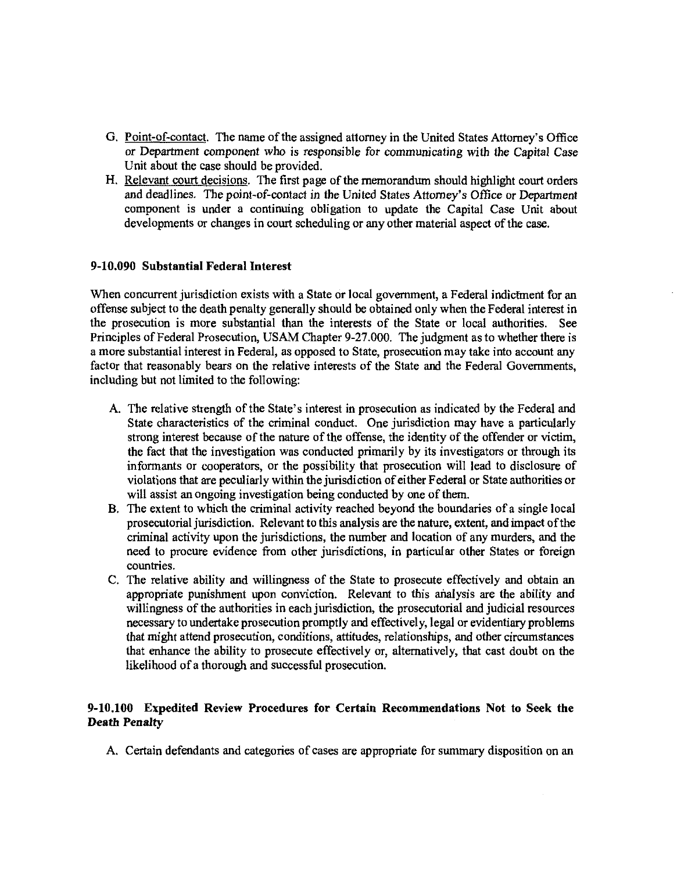- G. Point-of-contact. The name of the assigned attorney in the United States Attorney's Office or Department component who is responsible for communicating with the Capital Case Unit about the case should be provided.
- H. Relevant court decisions. The first page of the memorandum should highlight court orders and deadlines. The point-of-contact in the United States Attorney's Office or Department component is under a continuing obligation to update the Capital Case Unit about developments or changes in court scheduling or any other material aspect of the case,

#### 9-10.090 Substantial Federal Interest

When concurrent jurisdiction exists with a State or local government, a Federal indictment for an offense subject to the death penalty generally should be obtained only when the Federal interest in the prosecution is more substantial than the interests of the State or local authorities. See Principles of Federal Prosecution, USAM Chapter 9-27.000. The judgment as to whether there is a more substantial interest in Federal, as opposed to State, prosecution may take into account any factor that reasonably bears on the relative interests of the State and the Federal Governments, including but not limited to the following:

- A. The relative strength of the State's interest in prosecution as indicated by the Federal and State characteristics of the criminal conduct. One jurisdiction may have a particularly strong interest because of the nature of the offense, the identity of the offender or victim, the fact that the investigation was conducted primarily by its investigators or through its informants or cooperators, or the possibility that prosecution will lead to disclosure of violations that are peculiarly within the jurisdiction of either Federal or State authorities or will assist an ongoing investigation being conducted by one of them.
- B. The extent to which the criminal activity reached beyond the boundaries of a single local prosecutorial jurisdiction. Relevant to this analysis are the nature, extent, and impact of the criminal activity upon the jurisdictions, the number and location of any murders, and the need to procure evidence from other jurisdictions, in particular other States or foreign countries.
- C. The relative ability and willingness of the State to prosecute effectively and obtain an appropriate punishment upon conviction. Relevant to this analysis are the ability and willingness of the authorities in each jurisdiction, the prosecutorial and judicial resources necessary to undertake prosecution promptly and effectively, legal or evidentiary problems that might attend prosecution, conditions, attitudes, relationships, and other circumstances that enhance the ability to prosecute effectively or, alternatively, that cast doubt on the likelihood of a thorough and successful prosecution.

## **9-10.100 Expedited** Review **Procedures for Certain Recommendations Not to Seek the Death Penalty**

A. Certain defendants and categories of cases are appropriate for summary disposition on an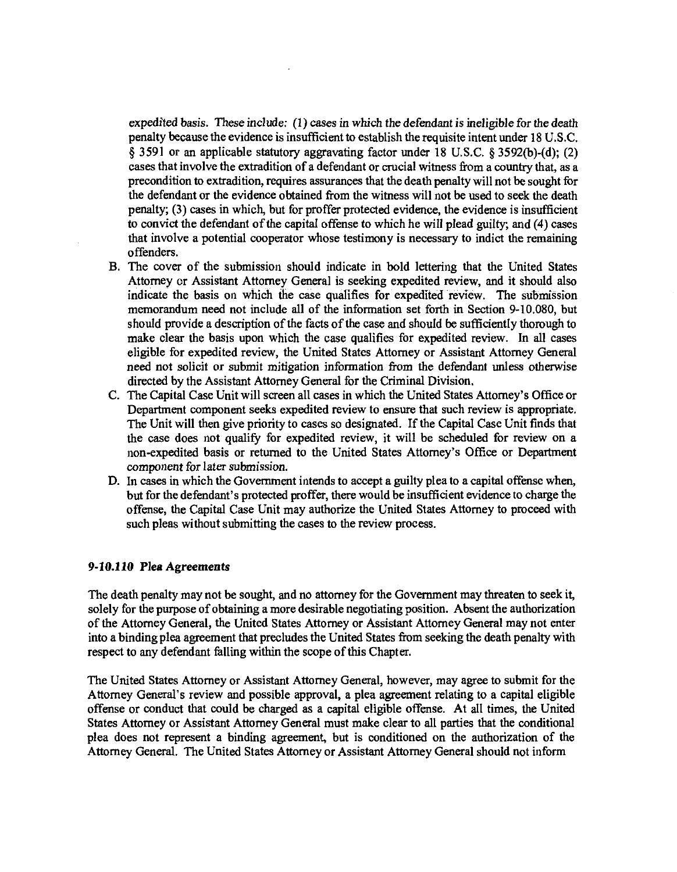expedited basis. These include: (1) cases in which the defendant is ineligible for the death penalty because the evidence is insufficient to establish the requisite intent under 18 U.S.C. § 3591 or an applicable statutory aggravating factor under 18 U.S.C. § 3592(b)-(d); (2) cases that involve the extradition of a defendant or crucial witness from a country that, as a precondition to extradition, requires assurances that the death penalty will not be sought for the defendant or the evidence obtained from the witness will not be used to seek the death penalty; (3) cases in which, but for proffer protected evidence, the evidence is insufficient to convict the defendant of the capital offense to which he will plead guilty; and (4) cases that involve a potential cooperator whose testimony is necessary to indict the remaining offenders.

- B. The cover of the submission should indicate in bold lettering that the United States Attorney or Assistant Attorney General is seeking expedited review, and it should also indicate the basis on which the case qualifies for expedited review. The submission memorandum need not include all of the information set forth in Section 9-10.080, but should provide a description of the facts of the case and should be sufficiently thorough to make clear the basis upon which the case qualifies for expedited review. In all cases eligible for expedited review, the United States Attorney or Assistant Attorney General need not solicit or submit mitigation information from the defendant unless otherwise directed by the Assistant Attorney General for the Criminal Division.
- C. The Capital Case Unit will screen all cases in which the United States Attorney's Office or Department component seeks expedited review to ensure that such review is appropriate. The Unit will then give priority to cases so designated. If the Capital Case Unit finds that the case does not qualify for expedited review, it will be scheduled for review on a non-expedited basis or returned to the United States Attorney's Office or Department component for later submission.
- D. In cases in which the Government intends to accept a guilty plea to a capital offense when, but for the defendant's protected proffer, there would be insufficient evidence to charge the offense, the Capital Case Unit may authorize the United States Attorney to proceed with such pleas without submitting the cases to the review process.

#### **9-10.110 Plea Agreements**

The death penalty may not be sought, and no attorney for the Government may threaten to seek it, solely for the purpose of obtaining a more desirable negotiating position. Absent the authorization of the Attorney General, the United States Attorney or Assistant Attorney General may not enter into a binding plea agreement that precludes the United States from seeking the death penalty with respect to any defendant falling within the scope of this Chapter.

The United States Attorney or Assistant Attorney General, however, may agree to submit for the Attorney General's review and possible approval, a plea agreement relating to a capital eligible offense or conduct that could be charged as a capital eligible offense. At all times, the United States Attorney or Assistant Attorney General must make clear to all parties that the conditional plea does not represent a binding agreement, but is conditioned on the authorization of the Attorney General. The United States Attorney or Assistant Attorney General should not inform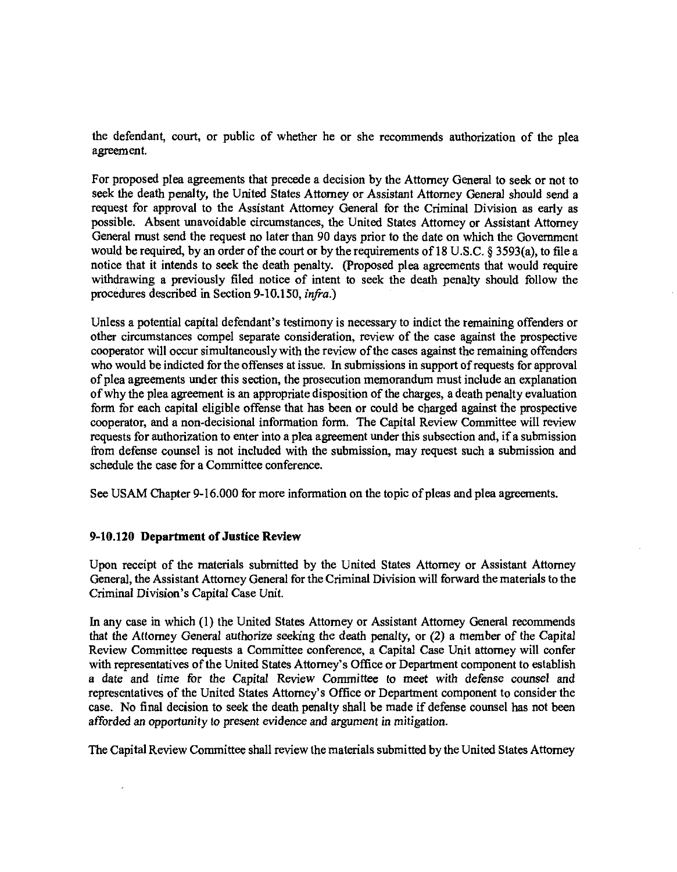the defendant, court, or public of whether he or she recommends authorization of the plea agreement.

For proposed plea agreements that precede a decision by the Attorney General to seek or not to seek the death penalty, the United States Attorney or Assistant Attorney General should send a request for approval to the Assistant Attorney General for the Criminal Division as early as possible. Absent unavoidable circumstances, the United States Attorney or Assistant Attorney General must send the request no later than 90 days prior to the date on which the Government would be required, by an order of the court or by the requirements of 18 U.S.C. § 3593(a), to file a notice that it intends to seek the death penalty. (Proposed plea agreements that would require withdrawing a previously filed notice of intent to seek the death penalty should follow the procedures described in Section 9-10.150, *infra.)* 

Unless a potential capital defendant's testimony is necessary to indict the remaining offenders or other circumstances compel separate consideration, review of the case against the prospective cooperator will occur simultaneously with the review of the cases against the remaining offenders who would be indicted for the offenses at issue. In submissions in support of requests for approval of plea agreements under this section, the prosecution memorandum must include an explanation of why the plea agreement is an appropriate disposition of the charges, a death penalty evaluation form for each capital eligible offense that has been or could be charged against the prospective cooperator, and a non-decisional information form. The Capital Review Committee will review requests for authorization to enter into a plea agreement under this subsection and, if a submission from defense counsel is not included with the submission, may request such a submission and schedule the case for a Committee conference.

See USAM Chapter 9-16.000 for more information on the topic of pleas and plea agreements.

## **9-10.120 Department of Justice Review**

Upon receipt of the materials submitted by the United States Attorney or Assistant Attorney General, the Assistant Attorney General for the Criminal Division will forward the materials to the Criminal Division's Capital Case Unit.

In any case in which (1) the United States Attorney or Assistant Attorney General recommends that the Attorney General authorize seeking the death penalty, or (2) a member of the Capital Review Committee requests a Committee conference, a Capital Case Unit attorney will confer with representatives of the United States Attorney's Office or Department component to establish a date and time for the Capital Review Committee to meet with defense counsel and representatives of the United States Attorney's Office or Department component to consider the case. No final decision to seek the death penalty shall be made if defense counsel has not been afforded an opportunity to present evidence and argument in mitigation.

The Capital Review Committee shall review the materials submitted by the United States Attorney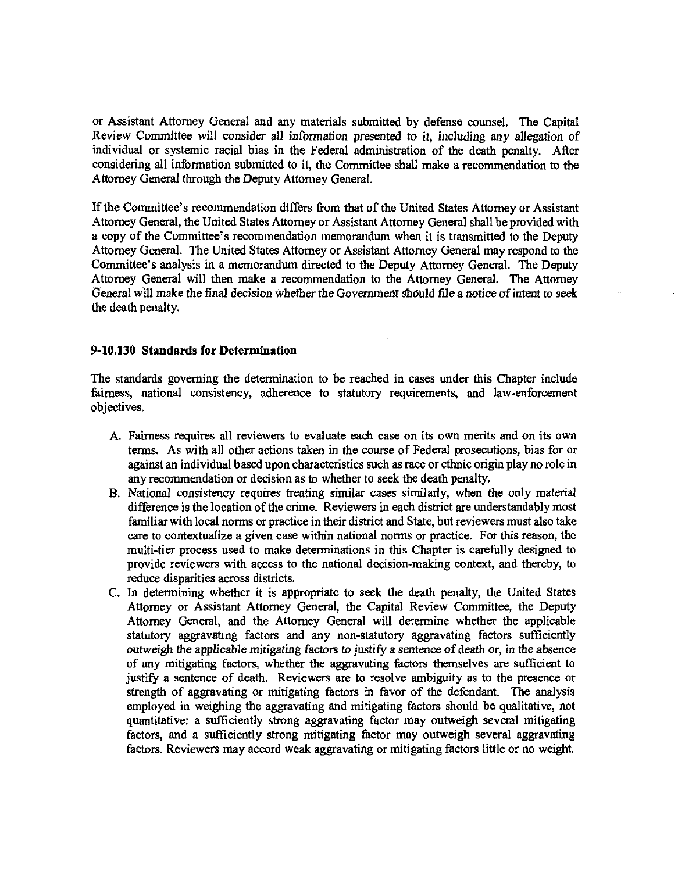or Assistant Attorney General and any materials submitted by defense counsel. The Capital Review Committee will consider all information presented to it, including any allegation of individual or systemic racial bias in the Federal administration of the death penalty. After considering all information submitted to it, the Committee shall make a recommendation to the Attorney General through the Deputy Attorney General.

If the Committee's recommendation differs from that of the United States Attorney or Assistant Attorney General, the United States Attorney or Assistant Attorney General shall be provided with a copy of the Committee's recommendation memorandum when it is transmitted to the Deputy Attorney General. The United States Attorney or Assistant Attorney General may respond to the Committee's analysis in a memorandum directed to the Deputy Attorney General. The Deputy Attorney General will then make a recommendation to the Attorney General. The Attorney General will make the final decision whether the Government should file a notice of intent to seek the death penalty.

## 9-10.130 Standards for Determination

The standards governing the determination to be reached in cases under this Chapter include fairness, national consistency, adherence to statutory requirements, and law-enforcement objectives,

- A. Fairness requires all reviewers to evaluate each case on its own merits and on its own terms. As with all other actions taken in the course of Federal prosecutions, bias for or against an individual based upon characteristics such as race or ethnic origin play no role in any recommendation or decision as to whether to seek the death penalty.
- B. National consistency requires treating similar cases similarly, when the only material difference is the location of the crime. Reviewers in each district are understandably most familiar with local norms or practice in their district and State, but reviewers must also take care to contextualize a given case within national norms or practice. For this reason, the multi-tier process used to make determinations in this Chapter is carefully designed to provide reviewers with access to the national decision-making context, and thereby, to reduce disparities across districts.
- C. In determining whether it is appropriate to seek the death penalty, the United States Attorney or Assistant Attorney General, the Capital Review Committee, the Deputy Attorney General, and the Attorney General will determine whether the applicable statutory aggravating factors and any non-statutory aggravating factors sufficiently outweigh the applicable mitigating factors to justify a sentence of death or, in the absence of any mitigating factors, whether the aggravating factors themselves are sufficient to justify a sentence of death. Reviewers are to resolve ambiguity as to the presence or strength of aggravating or mitigating factors in favor of the defendant. The analysis employed in weighing the aggravating and mitigating factors should be qualitative, not quantitative: a sufficiently strong aggravating factor may outweigh several mitigating factors, and a sufficiently strong mitigating factor may outweigh several aggravating factors. Reviewers may accord weak aggravating or mitigating factors little or no weight.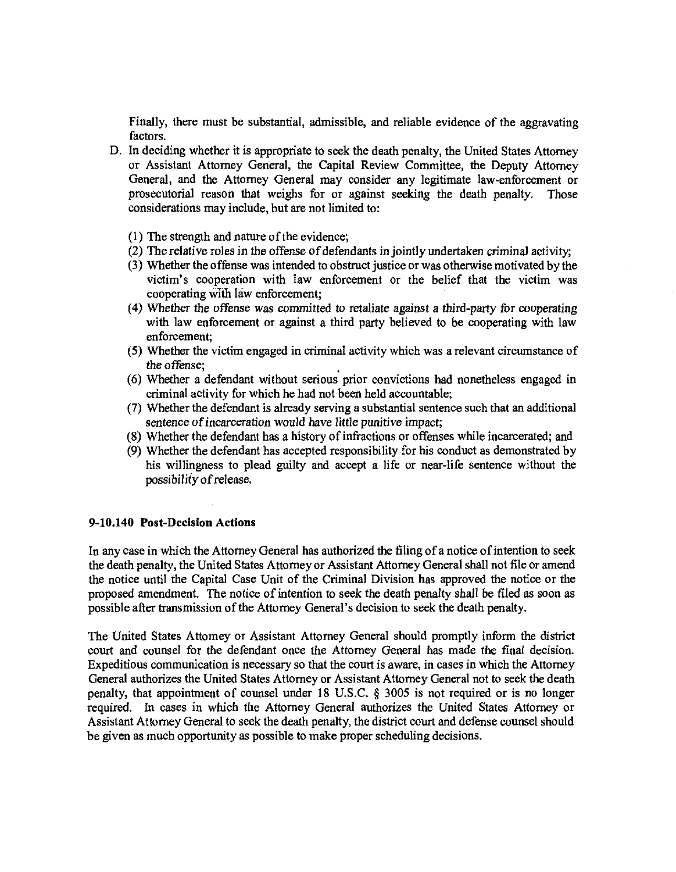Finally, there must be substantial, admissible, and reliable evidence of the aggravating factors.

- D. In deciding whether it is appropriate to seek the death penalty, the United States Attorney or Assistant Attorney General, the Capital Review Committee, the Deputy Attorney General, and the Attorney General may consider any legitimate law-enforcement or prosecutorial reason that weighs for or against seeking the death penalty. Those considerations may include, but are not limited to:
	- (1) The strength and nature of the evidence;
	- (2) The relative roles in the offense of defendants in jointly undertaken criminal activity;
	- (3) Whether the offense was intended to obstruct justice or was otherwise motivated by the victim's cooperation with law enforcement or the belief that the victim was cooperating with law enforcement;
	- (4) Whether the offense was committed to retaliate against a third-party for cooperating with law enforcement or against a third party believed to be cooperating with law enforcement;
	- (5) Whether the victim engaged in criminal activity which was a relevant circumstance of the offense;
	- (6) Whether a defendant without serious prior convictions had nonetheless engaged in criminal activity for which he had not been held accountable;
	- (7) Whether the defendant is already serving a substantial sentence such that an additional sentence of incarceration would have little punitive impact;
	- (8) Whether the defendant has a history of infractions or offenses while incarcerated; and
	- (9) Whether the defendant has accepted responsibility for his conduct as demonstrated by his willingness to plead guilty and accept a life or near-life sentence without the possibility of release,

## 9-10.140 Post-Decision Actions

In any case in which the Attorney General has authorized the filing of a notice of intention to seek the death penalty, the United States Attorney or Assistant Attorney General shall not file or amend the notice until the Capital Case Unit of the Criminal Division has approved the notice or the proposed amendment. The notice of intention to seek the death penalty shall be filed as soon as possible after transmission of the Attorney General's decision to seek the death penalty.

The United States Attorney or Assistant Attorney General should promptly inform the district court and counsel for the defendant once the Attorney General has made the final decision. Expeditious communication is necessary so that the court is aware, in cases in which the Attorney General authorizes the United States Attorney or Assistant Attorney General not to seek the death penalty, that appointment of counsel under 18 U.S.C. § 3005 is not required or is no longer required. In cases in which the Attorney General authorizes the United States Attorney or Assistant Attorney General to seek the death penalty, the district court and defense counsel should be given as much opportunity as possible to make proper scheduling decisions.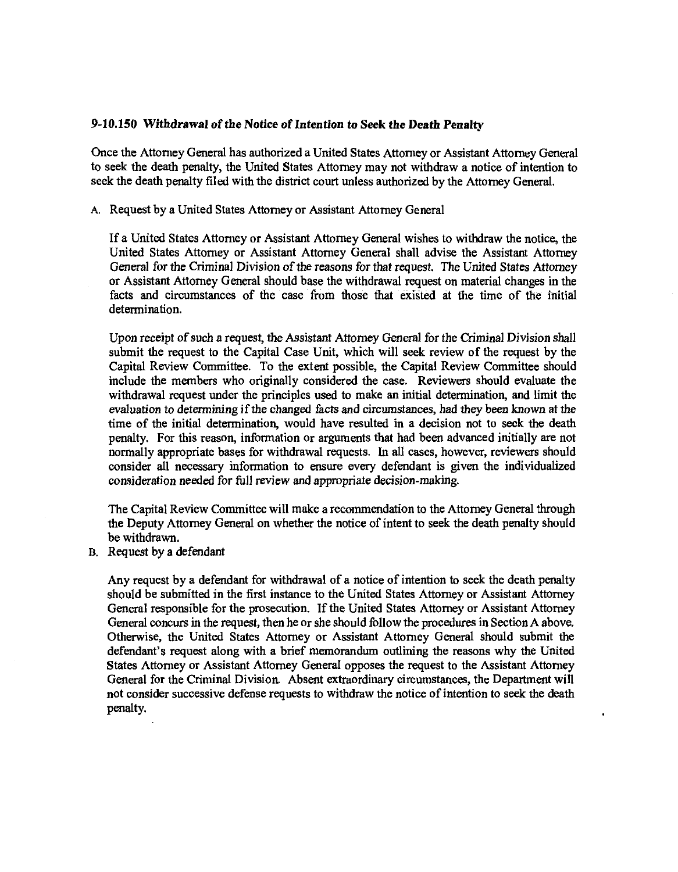#### **9-10.150 Withdrawal of the Notice of Intention to Seek the Death Penalty**

Once the Attorney General has authorized a United States Attorney or Assistant Attorney General to seek the death penalty, the United States Attorney may not withdraw a notice of intention to seek the death penalty filed with the district court unless authorized by the Attorney General.

A. Request by a United States Attorney or Assistant Attorney General

If a United States Attorney or Assistant Attorney General wishes to withdraw the notice, the United States Attorney or Assistant Attorney General shall advise the Assistant Attorney General for the Criminal Division of the reasons for that request. The United States Attorney or Assistant Attorney General should base the withdrawal request on material changes in the facts and circumstances of the case from those that existed at the time of the initial determination.

Upon receipt of such a request, the Assistant Attorney General for the Criminal Division shall submit the request to the Capital Case Unit, which will seek review of the request by the Capital Review Committee. To the extent possible, the Capital Review Committee should include the members who originally considered the case. Reviewers should evaluate the withdrawal request under the principles used to make an initial determination, and limit the evaluation to determining if the changed facts and circumstances, had they been known at the time of the initial determination, would have resulted in a decision not to seek the death penalty. For this reason, information or arguments that had been advanced initially are not normally appropriate bases for withdrawal requests. In all cases, however, reviewers should consider all necessary information to ensure every defendant is given the individualized consideration needed for full review and appropriate decision-making.

The Capital Review Committee will make a recommendation to the Attorney General through the Deputy Attorney General on whether the notice of intent to seek the death penalty should be withdrawn.

B. Request by a defendant

Any request by a defendant for withdrawal of a notice of intention to seek the death penalty should be submitted in the first instance to the United States Attorney or Assistant Attorney General responsible for the prosecution. If the United States Attorney or Assistant Attorney General concurs in the request, then he or she should follow the procedures in Section A above. Otherwise, the United States Attorney or Assistant Attorney General should submit the defendant's request along with a brief memorandum outlining the reasons why the United States Attorney or Assistant Attorney General opposes the request to the Assistant Attorney General for the Criminal Division. Absent extraordinary circumstances, the Department will not consider successive defense requests to withdraw the notice of intention to seek the death penalty.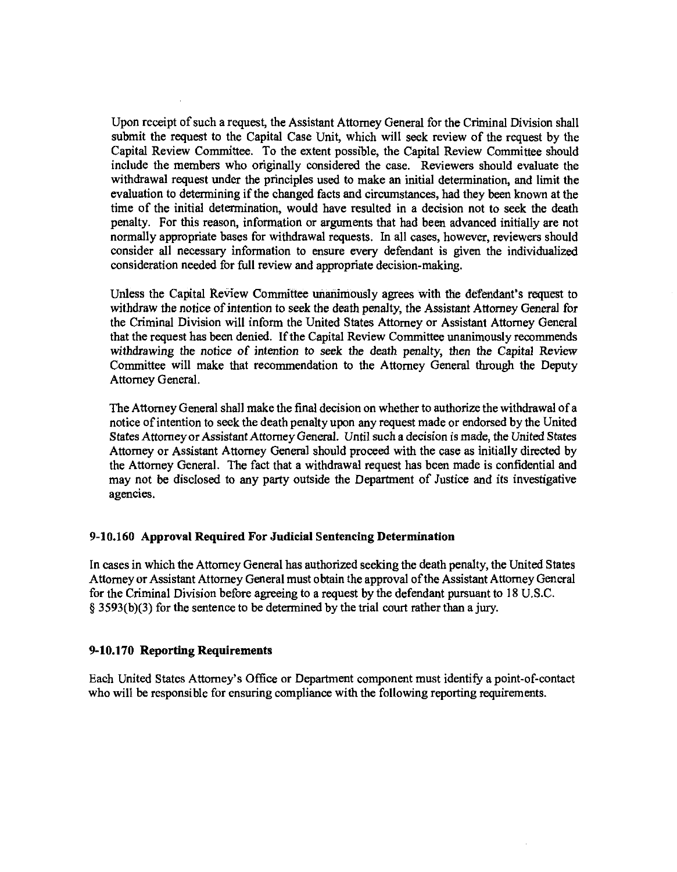Upon receipt of such a request, the Assistant Attorney General for the Criminal Division shall submit the request to the Capital Case Unit, which will seek review of the request by the Capital Review Committee. To the extent possible, the Capital Review Committee should include the members who originally considered the case. Reviewers should evaluate the withdrawal request under the principles used to make an initial determination, and limit the evaluation to determining if the changed facts and circumstances, had they been known at the time of the initial determination, would have resulted in a decision not to seek the death penalty. For this reason, information or arguments that had been advanced initially are not normally appropriate bases for withdrawal requests. In all cases, however, reviewers should consider all necessary information to ensure every defendant is given the individualized consideration needed for full review and appropriate decision-making.

Unless the Capital Review Committee unanimously agrees with the defendant's request to withdraw the notice of intention to seek the death penalty, the Assistant Attorney General for the Criminal Division will inform the United States Attorney or Assistant Attorney General that the request has been denied. If the Capital Review Committee unanimously recommends withdrawing the notice of intention to seek the death penalty, then the Capital Review Committee will make that recommendation to the Attorney General through the Deputy Attorney General.

The Attorney General shall make the final decision on whether to authorize the withdrawal of a notice of intention to seek the death penalty upon any request made or endorsed by the United States Attorney or Assistant Attorney General. Until such a decision is made, the United States Attorney or Assistant Attorney General should proceed with the case as initially directed by the Attorney General. The fact that a withdrawal request has been made is confidential and may not be disclosed to any party outside the Department of Justice and its investigative agencies.

## **9-10.160 Approval Required For Judicial Sentencing Determination**

In cases in which the Attorney General has authorized seeking the death penalty, the United States Attorney or Assistant Attorney General must obtain the approval of the Assistant Attorney General for the Criminal Division before agreeing to a request by the defendant pursuant to 18 U.S.C. § 3593(b)(3) for the sentence to be determined by the trial court rather than a jury.

#### **9-10.170 Reporting Requirements**

Each United States Attorney's Office or Department component must identify a point-of-contact who will be responsible for ensuring compliance with the following reporting requirements.